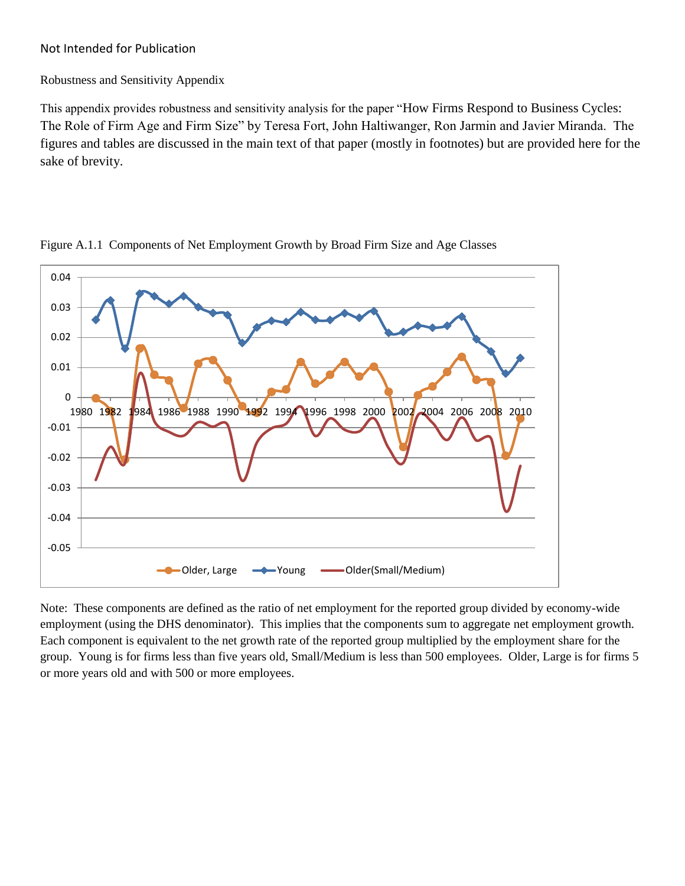### Not Intended for Publication

#### Robustness and Sensitivity Appendix

This appendix provides robustness and sensitivity analysis for the paper "How Firms Respond to Business Cycles: The Role of Firm Age and Firm Size" by Teresa Fort, John Haltiwanger, Ron Jarmin and Javier Miranda. The figures and tables are discussed in the main text of that paper (mostly in footnotes) but are provided here for the sake of brevity.



Figure A.1.1 Components of Net Employment Growth by Broad Firm Size and Age Classes

Note: These components are defined as the ratio of net employment for the reported group divided by economy-wide employment (using the DHS denominator). This implies that the components sum to aggregate net employment growth. Each component is equivalent to the net growth rate of the reported group multiplied by the employment share for the group. Young is for firms less than five years old, Small/Medium is less than 500 employees. Older, Large is for firms 5 or more years old and with 500 or more employees.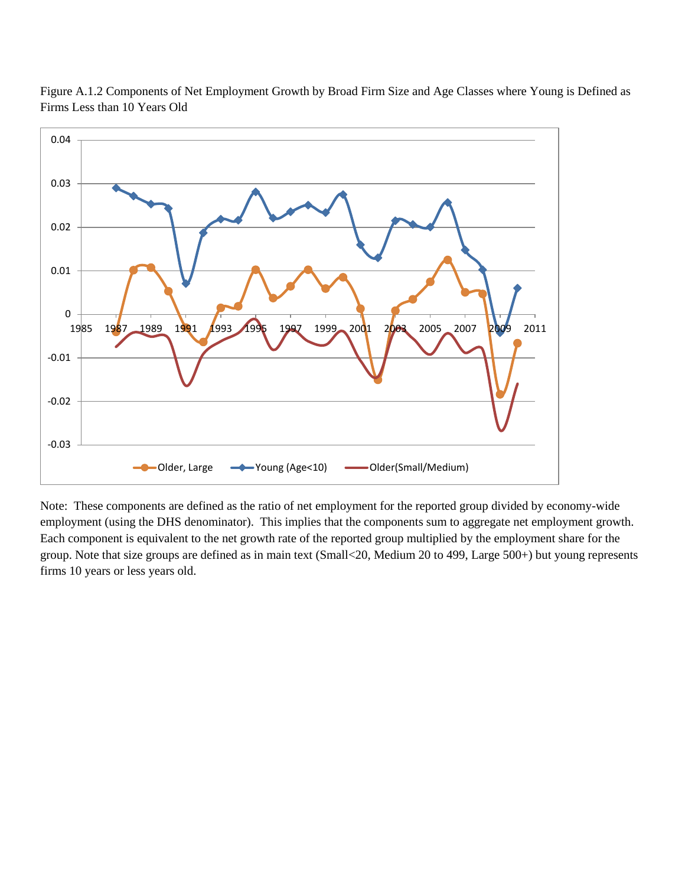

Figure A.1.2 Components of Net Employment Growth by Broad Firm Size and Age Classes where Young is Defined as Firms Less than 10 Years Old

Note: These components are defined as the ratio of net employment for the reported group divided by economy-wide employment (using the DHS denominator). This implies that the components sum to aggregate net employment growth. Each component is equivalent to the net growth rate of the reported group multiplied by the employment share for the group. Note that size groups are defined as in main text (Small<20, Medium 20 to 499, Large 500+) but young represents firms 10 years or less years old.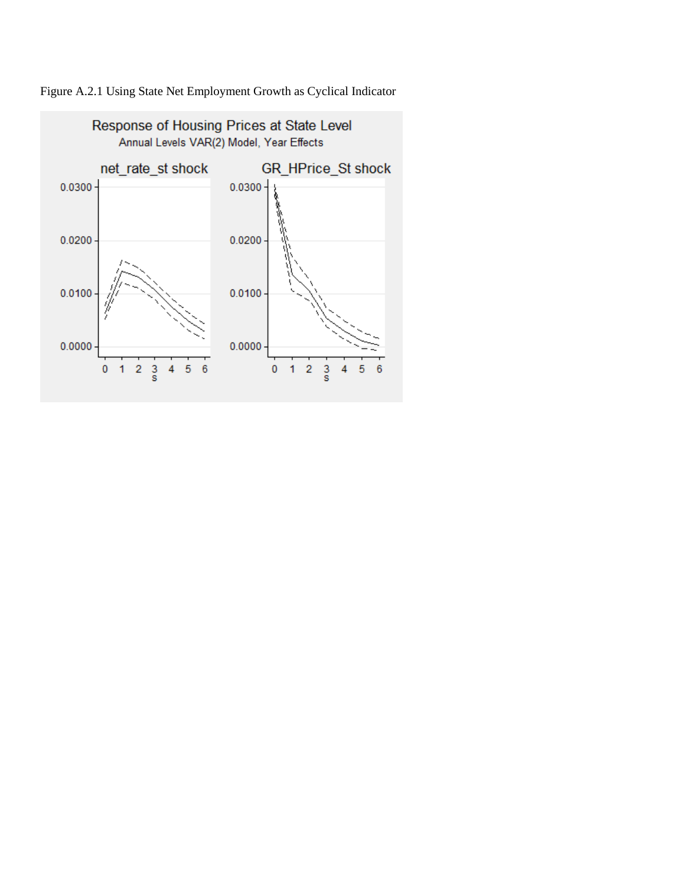

Figure A.2.1 Using State Net Employment Growth as Cyclical Indicator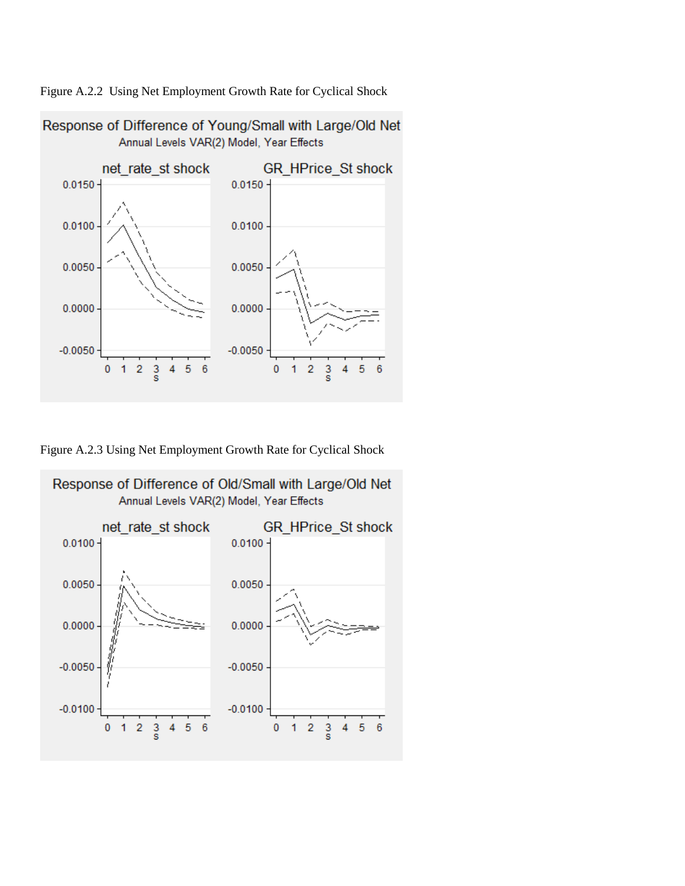Figure A.2.2 Using Net Employment Growth Rate for Cyclical Shock



Figure A.2.3 Using Net Employment Growth Rate for Cyclical Shock

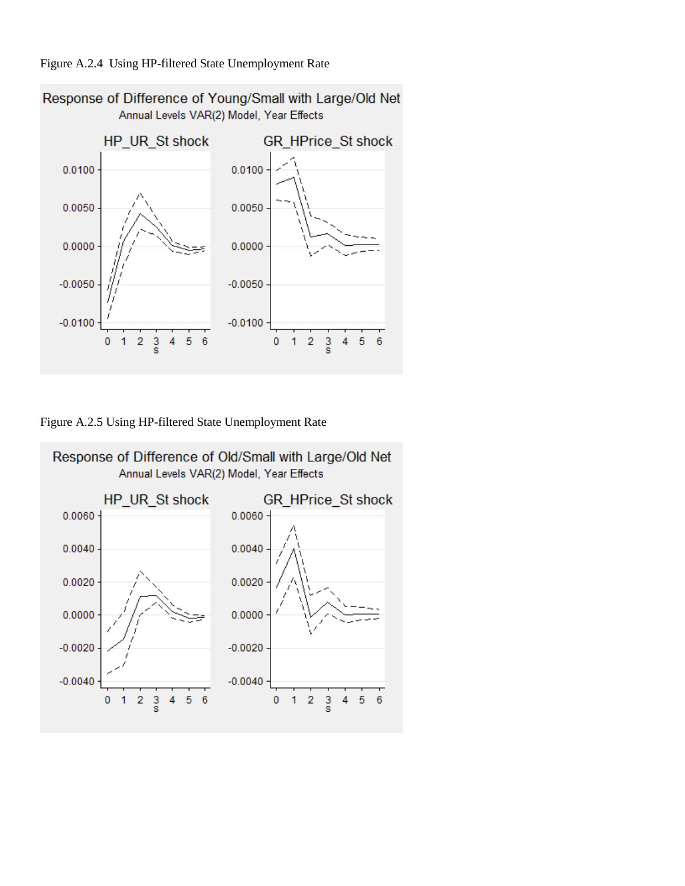### Figure A.2.4 Using HP-filtered State Unemployment Rate



Figure A.2.5 Using HP-filtered State Unemployment Rate



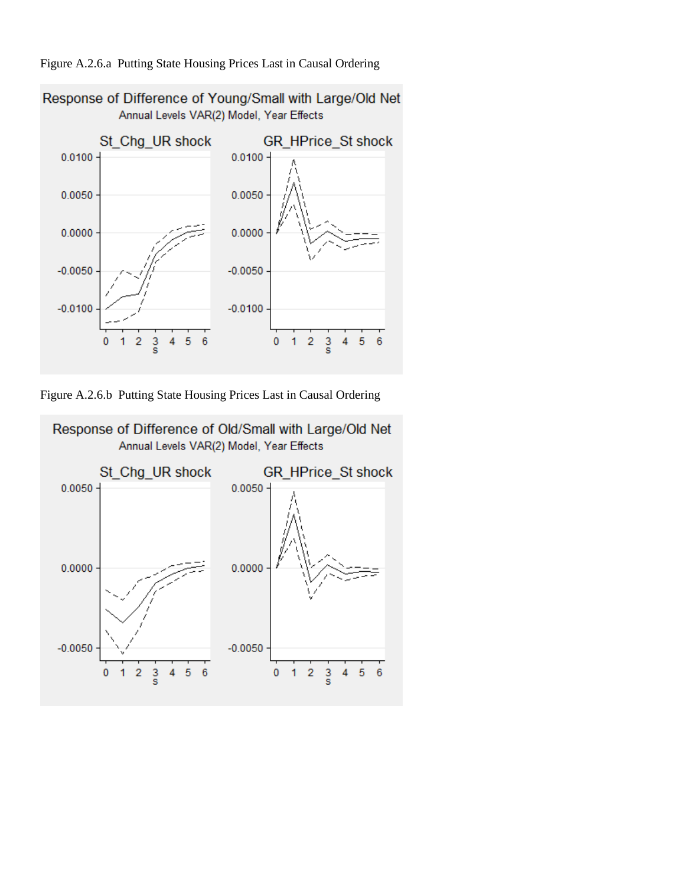



Figure A.2.6.b Putting State Housing Prices Last in Causal Ordering

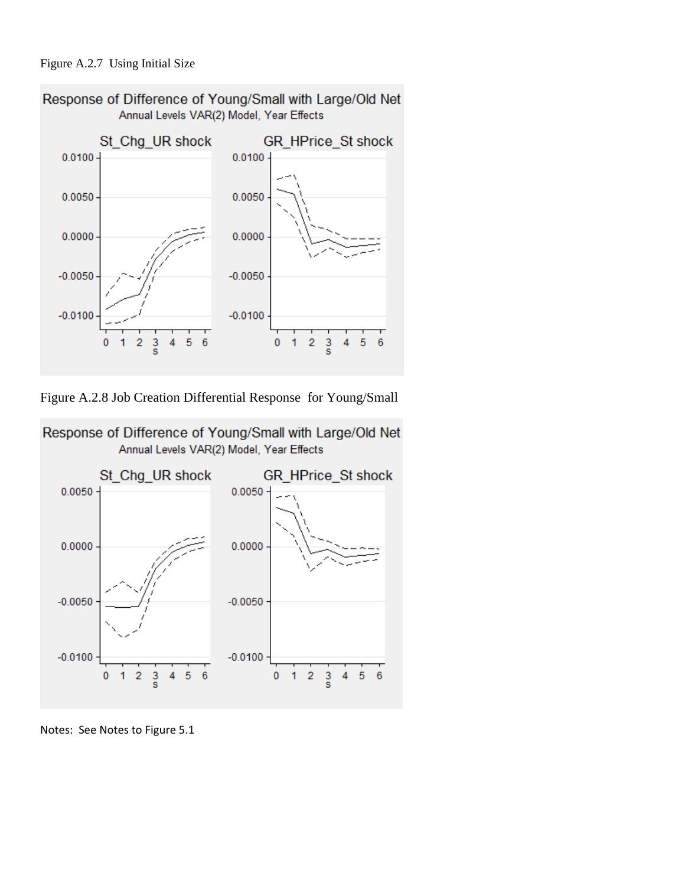### Figure A.2.7 Using Initial Size



Figure A.2.8 Job Creation Differential Response for Young/Small



Response of Difference of Young/Small with Large/Old Net Annual Levels VAR(2) Model, Year Effects

Notes: See Notes to Figure 5.1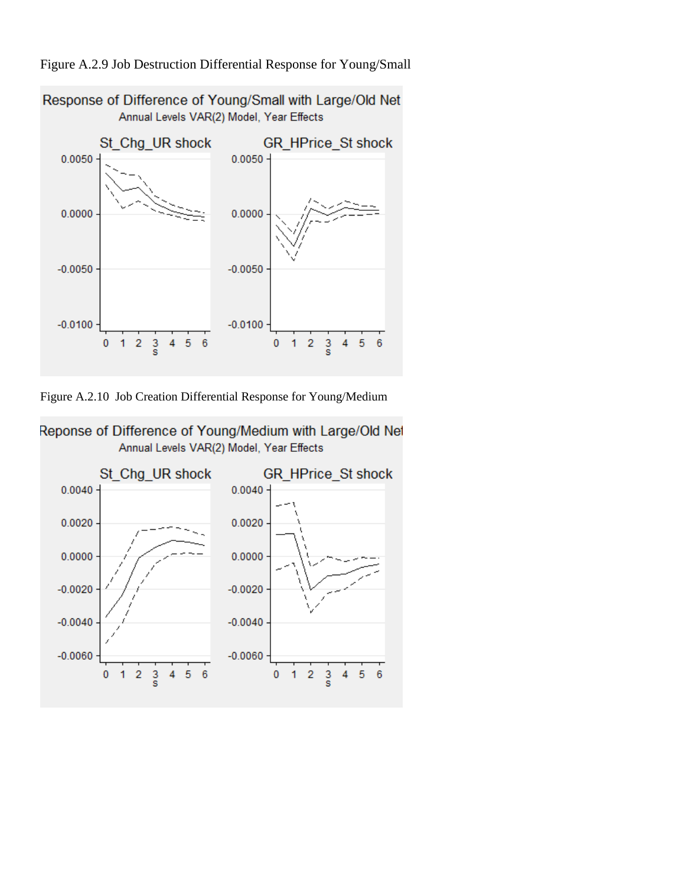



Response of Difference of Young/Small with Large/Old Net Annual Levels VAR(2) Model, Year Effects

Figure A.2.10 Job Creation Differential Response for Young/Medium



Reponse of Difference of Young/Medium with Large/Old Net Annual Levels VAR(2) Model, Year Effects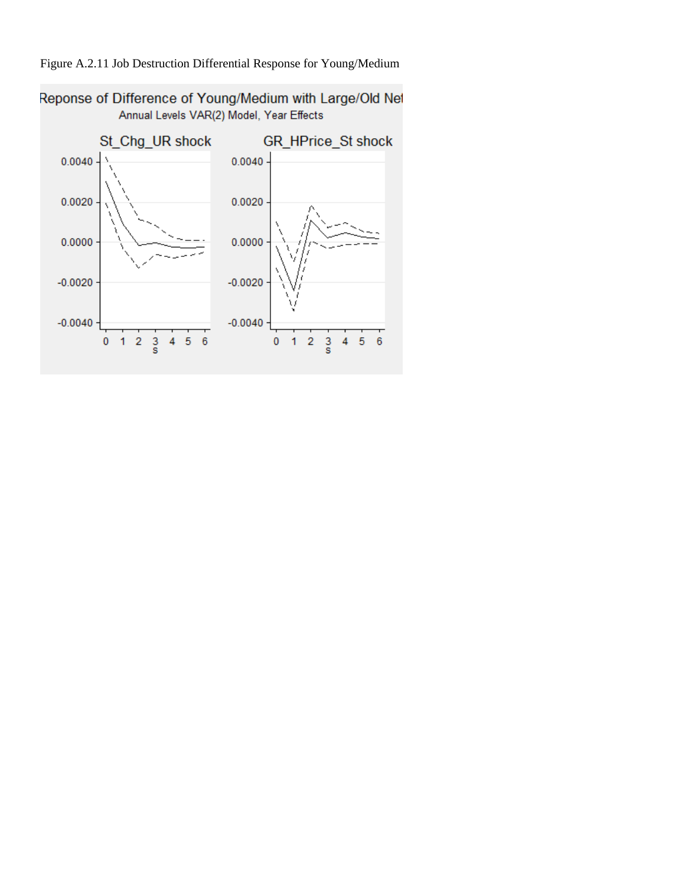

# Figure A.2.11 Job Destruction Differential Response for Young/Medium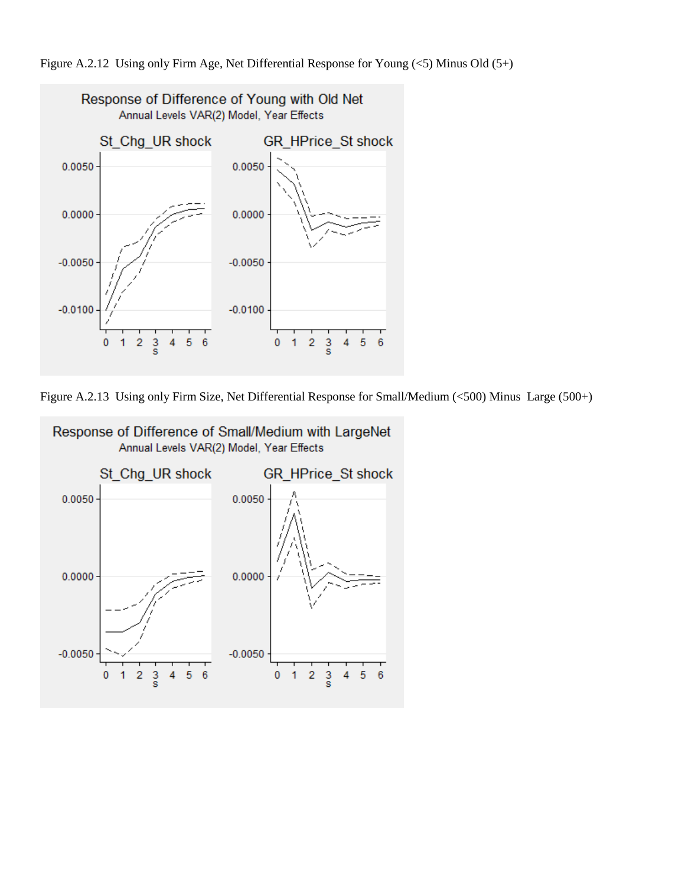



Figure A.2.13 Using only Firm Size, Net Differential Response for Small/Medium (<500) Minus Large (500+)

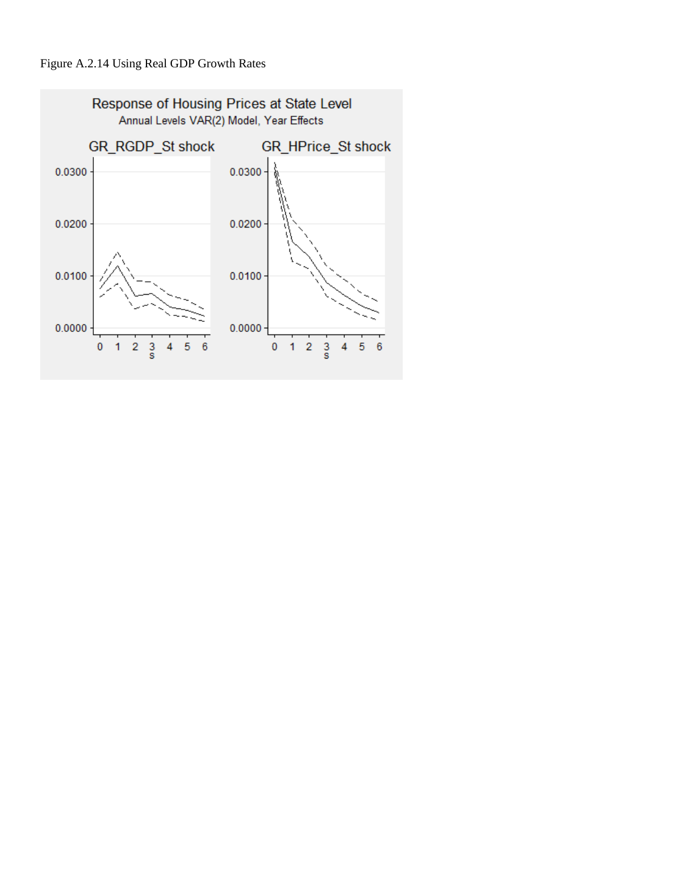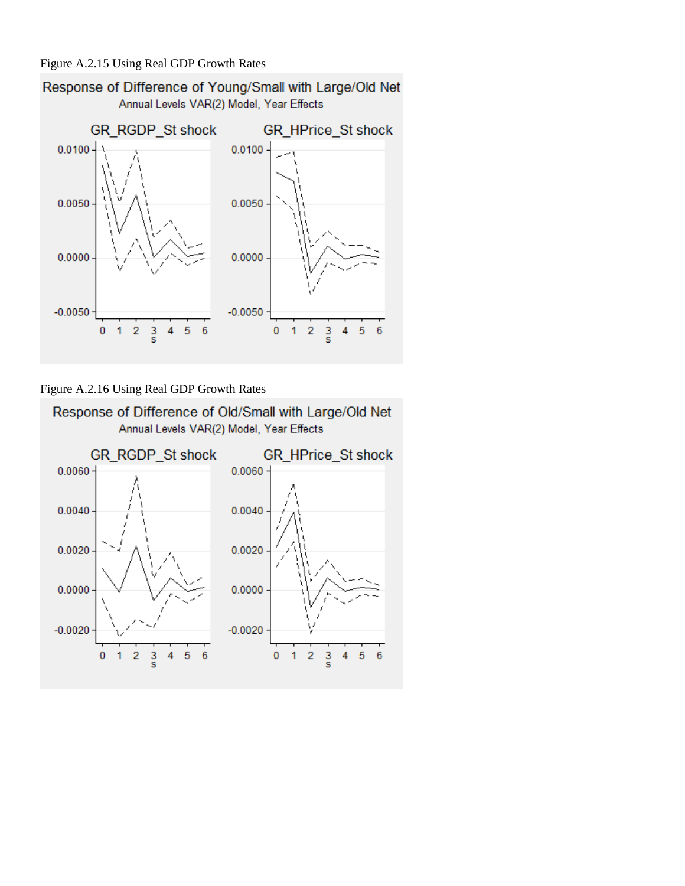

Figure A.2.16 Using Real GDP Growth Rates

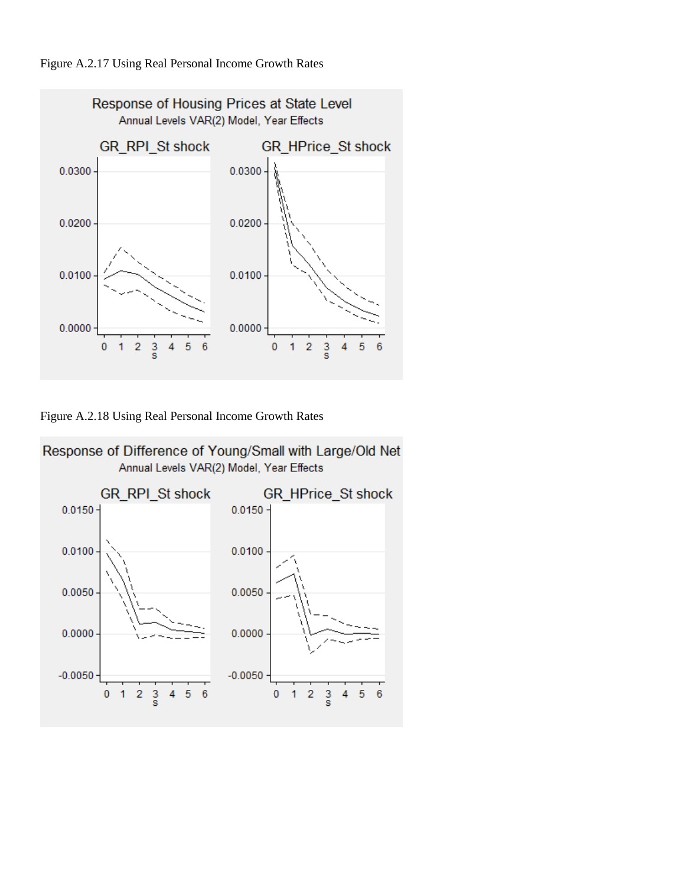



Figure A.2.18 Using Real Personal Income Growth Rates



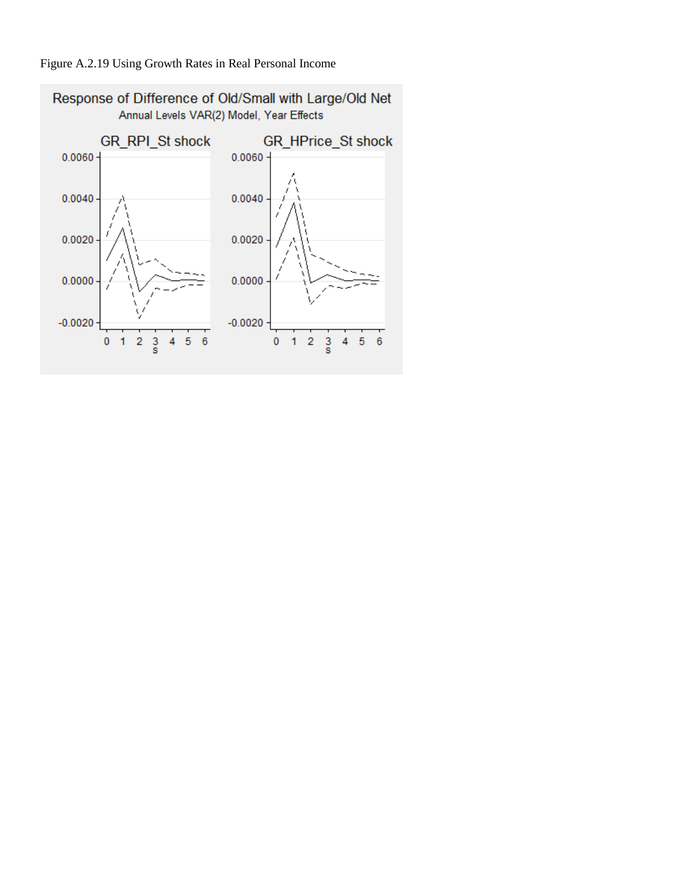

## Figure A.2.19 Using Growth Rates in Real Personal Income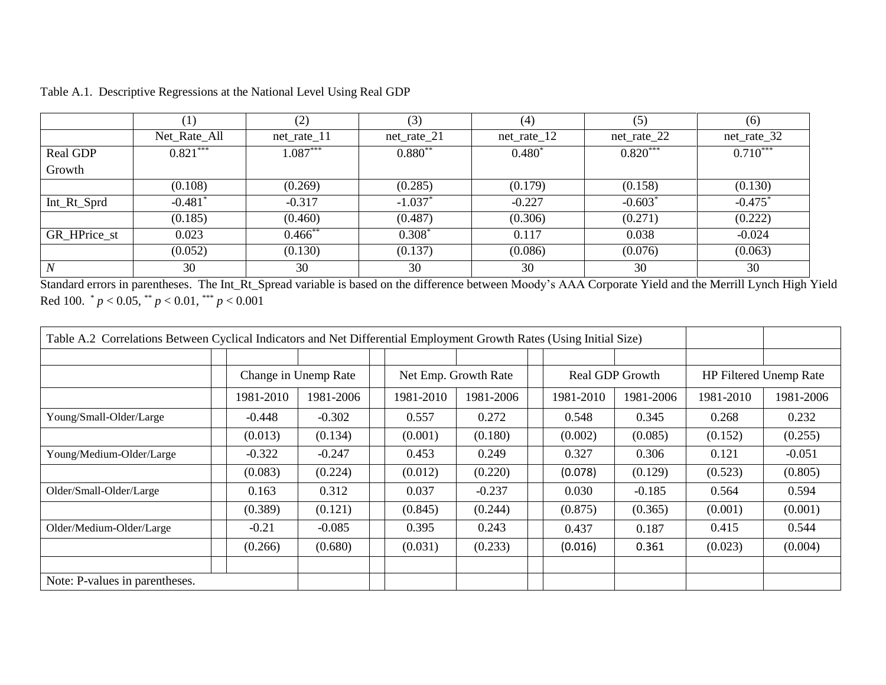|              | $^{\prime}1)$ | (2)           | (3)           | (4)           | (5)           | (6)                   |
|--------------|---------------|---------------|---------------|---------------|---------------|-----------------------|
|              | Net_Rate_All  | $net_rate_11$ | $net_rate_21$ | $net_rate_12$ | $net_rate_22$ | $net_rate_32$         |
| Real GDP     | $0.821***$    | $1.087***$    | $0.880**$     | $0.480*$      | $0.820***$    | $0.710***$            |
| Growth       |               |               |               |               |               |                       |
|              | (0.108)       | (0.269)       | (0.285)       | (0.179)       | (0.158)       | (0.130)               |
| Int_Rt_Sprd  | $-0.481*$     | $-0.317$      | $-1.037*$     | $-0.227$      | $-0.603*$     | $-0.475$ <sup>*</sup> |
|              | (0.185)       | (0.460)       | (0.487)       | (0.306)       | (0.271)       | (0.222)               |
| GR_HPrice_st | 0.023         | $0.466$ **    | $0.308*$      | 0.117         | 0.038         | $-0.024$              |
|              | (0.052)       | (0.130)       | (0.137)       | (0.086)       | (0.076)       | (0.063)               |
|              | 30            | 30            | 30            | 30            | 30            | 30                    |

Table A.1. Descriptive Regressions at the National Level Using Real GDP

Standard errors in parentheses. The Int\_Rt\_Spread variable is based on the difference between Moody's AAA Corporate Yield and the Merrill Lynch High Yield Red 100. \* *p* < 0.05, \*\* *p* < 0.01, \*\*\* *p* < 0.001

| Table A.2 Correlations Between Cyclical Indicators and Net Differential Employment Growth Rates (Using Initial Size) |           |                      |                      |           |                 |           |                        |           |           |
|----------------------------------------------------------------------------------------------------------------------|-----------|----------------------|----------------------|-----------|-----------------|-----------|------------------------|-----------|-----------|
|                                                                                                                      |           |                      |                      |           |                 |           |                        |           |           |
|                                                                                                                      |           | Change in Unemp Rate | Net Emp. Growth Rate |           | Real GDP Growth |           | HP Filtered Unemp Rate |           |           |
|                                                                                                                      | 1981-2010 | 1981-2006            | 1981-2010            | 1981-2006 |                 | 1981-2010 | 1981-2006              | 1981-2010 | 1981-2006 |
| Young/Small-Older/Large                                                                                              | $-0.448$  | $-0.302$             | 0.557                | 0.272     |                 | 0.548     | 0.345                  | 0.268     | 0.232     |
|                                                                                                                      | (0.013)   | (0.134)              | (0.001)              | (0.180)   |                 | (0.002)   | (0.085)                | (0.152)   | (0.255)   |
| Young/Medium-Older/Large                                                                                             | $-0.322$  | $-0.247$             | 0.453                | 0.249     |                 | 0.327     | 0.306                  | 0.121     | $-0.051$  |
|                                                                                                                      | (0.083)   | (0.224)              | (0.012)              | (0.220)   |                 | (0.078)   | (0.129)                | (0.523)   | (0.805)   |
| Older/Small-Older/Large                                                                                              | 0.163     | 0.312                | 0.037                | $-0.237$  |                 | 0.030     | $-0.185$               | 0.564     | 0.594     |
|                                                                                                                      | (0.389)   | (0.121)              | (0.845)              | (0.244)   |                 | (0.875)   | (0.365)                | (0.001)   | (0.001)   |
| Older/Medium-Older/Large                                                                                             | $-0.21$   | $-0.085$             | 0.395                | 0.243     |                 | 0.437     | 0.187                  | 0.415     | 0.544     |
|                                                                                                                      | (0.266)   | (0.680)              | (0.031)              | (0.233)   |                 | (0.016)   | 0.361                  | (0.023)   | (0.004)   |
|                                                                                                                      |           |                      |                      |           |                 |           |                        |           |           |
| Note: P-values in parentheses.                                                                                       |           |                      |                      |           |                 |           |                        |           |           |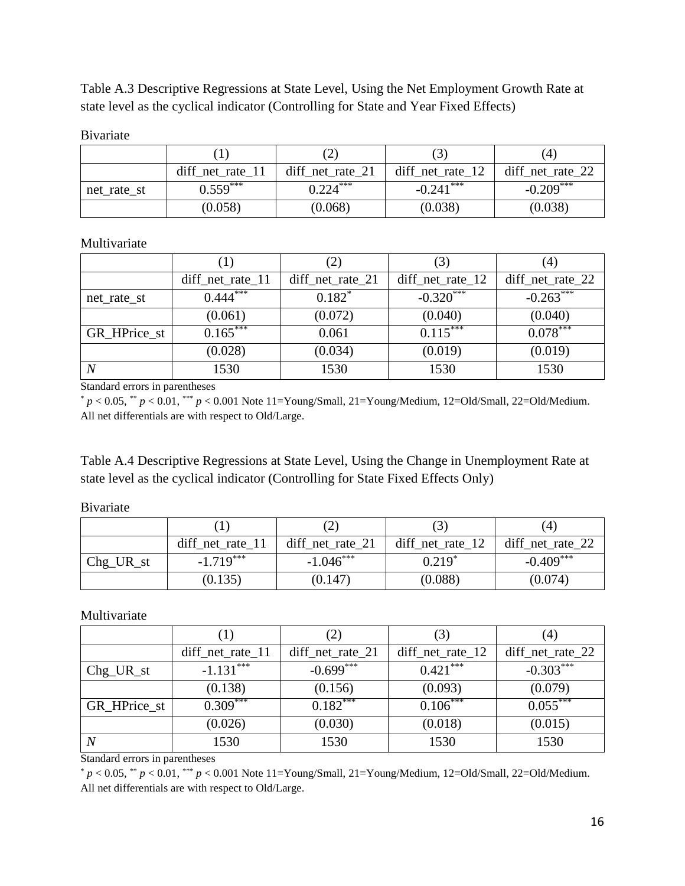Table A.3 Descriptive Regressions at State Level, Using the Net Employment Growth Rate at state level as the cyclical indicator (Controlling for State and Year Fixed Effects)

### Bivariate

|             |                       |                      | د.                   | (4)                    |
|-------------|-----------------------|----------------------|----------------------|------------------------|
|             | $diff_{net_rate}\_11$ | $diff_{net_rate_21}$ | $diff_{net_rate_12}$ | $diff_{net\_rate\_22}$ |
| net_rate_st | $0.559***$            | $0.224***$           | $-0.241***$          | $-0.209***$            |
|             | (0.058)               | (0.068)              | (0.038)              | (0.038)                |

### Multivariate

|                | $\left(1\right)$       | $\left 2\right\rangle$ |                      | 4)                     |
|----------------|------------------------|------------------------|----------------------|------------------------|
|                | $diff_{net_rate_11}$   | $diff_{net_rate_21}$   | $diff_{net_rate_12}$ | $diff_{net\_rate\_22}$ |
| net_rate_st    | $0.444$ <sup>***</sup> | $0.182*$               | $-0.320***$          | $-0.263***$            |
|                | (0.061)                | (0.072)                | (0.040)              | (0.040)                |
| GR_HPrice_st   | $0.165***$             | 0.061                  | $0.115***$           | $0.078***$             |
|                | (0.028)                | (0.034)                | (0.019)              | (0.019)                |
| $\overline{N}$ | 1530                   | 1530                   | 1530                 | 1530                   |

Standard errors in parentheses

\* *p* < 0.05, \*\* *p* < 0.01, \*\*\* *p* < 0.001 Note 11=Young/Small, 21=Young/Medium, 12=Old/Small, 22=Old/Medium. All net differentials are with respect to Old/Large.

Table A.4 Descriptive Regressions at State Level, Using the Change in Unemployment Rate at state level as the cyclical indicator (Controlling for State Fixed Effects Only)

Bivariate

|           |                       |                      |                     | (4)                  |
|-----------|-----------------------|----------------------|---------------------|----------------------|
|           | $diff_{net_rate}\_11$ | $diff_{net_rate_21}$ | diff_net_rate_ $12$ | $diff_{net_rate_22}$ |
| Chg_UR_st | $-1.719***$           | $-1.046***$          | $0.219*$            | $-0.409***$          |
|           | (0.135)               | (0.147)              | (0.088)             | (0.074)              |

Multivariate

|              | ( 1 )                 | $\left( 2\right)$    | (3)                  | (4)              |
|--------------|-----------------------|----------------------|----------------------|------------------|
|              | $diff_{net_rate}\_11$ | $diff_{net_rate_21}$ | $diff_{net_rate_12}$ | diff_net_rate_22 |
| $Chg_UR_st$  | $-1.131***$           | $-0.699***$          | $0.421$ ***          | $-0.303***$      |
|              | (0.138)               | (0.156)              | (0.093)              | (0.079)          |
| GR_HPrice_st | $0.309***$            | $0.182***$           | $0.106***$           | $0.055***$       |
|              | (0.026)               | (0.030)              | (0.018)              | (0.015)          |
|              | 1530                  | 1530                 | 1530                 | 1530             |

Standard errors in parentheses

 $* p < 0.05, ** p < 0.01, *** p < 0.001$  Note 11=Young/Small, 21=Young/Medium, 12=Old/Small, 22=Old/Medium. All net differentials are with respect to Old/Large.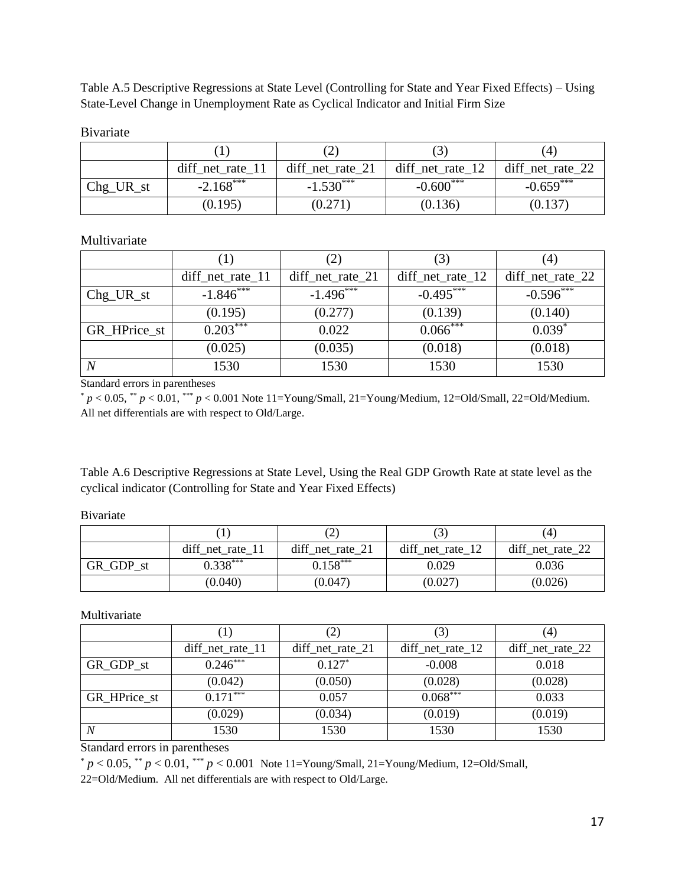Table A.5 Descriptive Regressions at State Level (Controlling for State and Year Fixed Effects) – Using State-Level Change in Unemployment Rate as Cyclical Indicator and Initial Firm Size

Bivariate

|             |                       |                      | $\cup$              | (4)                  |
|-------------|-----------------------|----------------------|---------------------|----------------------|
|             | $diff_{net_rate}\_11$ | $diff_{net_rate_21}$ | diff_net_rate_ $12$ | $diff_{net_rate_22}$ |
| $Chg_UR_st$ | $-2.168***$           | $-1.530***$          | $-0.600***$         | $-0.659***$          |
|             | (0.195)               | (0.271)              | (0.136)             | (0.137)              |

Multivariate

|              |                             |                        |                      | $\left(4\right)$     |
|--------------|-----------------------------|------------------------|----------------------|----------------------|
|              | $diff{\_}net{\_}rate{\_}11$ | $diff_{net\_rate\_21}$ | $diff_{net_rate_12}$ | $diff_{net_rate_22}$ |
| $Chg_UR_st$  | $-1.846***$                 | $-1.496***$            | $-0.495***$          | $-0.596***$          |
|              | (0.195)                     | (0.277)                | (0.139)              | (0.140)              |
| GR_HPrice_st | $0.203***$                  | 0.022                  | $0.066***$           | $0.039*$             |
|              | (0.025)                     | (0.035)                | (0.018)              | (0.018)              |
| N            | 1530                        | 1530                   | 1530                 | 1530                 |

Standard errors in parentheses

 $p < 0.05$ , \*\*  $p < 0.01$ , \*\*\*  $p < 0.001$  Note 11=Young/Small, 21=Young/Medium, 12=Old/Small, 22=Old/Medium. All net differentials are with respect to Old/Large.

Table A.6 Descriptive Regressions at State Level, Using the Real GDP Growth Rate at state level as the cyclical indicator (Controlling for State and Year Fixed Effects)

Bivariate

|           |                      |                  |                  | (4)              |
|-----------|----------------------|------------------|------------------|------------------|
|           | $diff_{net_rate_11}$ | diff net rate 21 | diff net rate 12 | diff_net_rate_22 |
| GR GDP st | $0.338***$           | $0.158***$       | 0.029            | 0.036            |
|           | (0.040)              | (0.047)          | (0.027)          | (0.026)          |

Multivariate

|                  | $\perp$               | $\left( 2\right)$    |                        | (4)                  |
|------------------|-----------------------|----------------------|------------------------|----------------------|
|                  | $diff_{net_rate}\_11$ | $diff_{net_rate_21}$ | $diff_{net\_rate\_12}$ | $diff_{net_rate_22}$ |
| GR_GDP_st        | $0.246***$            | $0.127*$             | $-0.008$               | 0.018                |
|                  | (0.042)               | (0.050)              | (0.028)                | (0.028)              |
| GR_HPrice_st     | $0.171***$            | 0.057                | $0.068***$             | 0.033                |
|                  | (0.029)               | (0.034)              | (0.019)                | (0.019)              |
| $\boldsymbol{N}$ | 1530                  | 1530                 | 1530                   | 1530                 |

Standard errors in parentheses

 $* p < 0.05, ** p < 0.01, *** p < 0.001$  Note 11=Young/Small, 21=Young/Medium, 12=Old/Small,

22=Old/Medium. All net differentials are with respect to Old/Large.